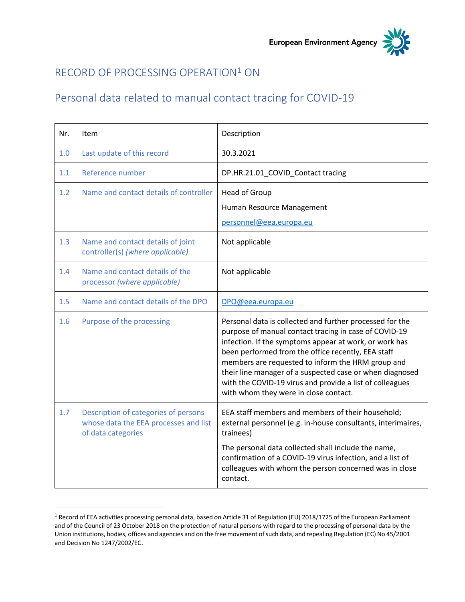

## RECORD OF PROCESSING OPERATION<sup>1</sup> ON

## Personal data related to manual contact tracing for COVID-19

| Nr. | Item                                                                                                | Description                                                                                                                                                                                                                                                                                                                                                                                                                                             |
|-----|-----------------------------------------------------------------------------------------------------|---------------------------------------------------------------------------------------------------------------------------------------------------------------------------------------------------------------------------------------------------------------------------------------------------------------------------------------------------------------------------------------------------------------------------------------------------------|
| 1.0 | Last update of this record                                                                          | 30.3.2021                                                                                                                                                                                                                                                                                                                                                                                                                                               |
| 1.1 | Reference number                                                                                    | DP.HR.21.01_COVID_Contact tracing                                                                                                                                                                                                                                                                                                                                                                                                                       |
| 1.2 | Name and contact details of controller                                                              | <b>Head of Group</b><br>Human Resource Management<br>personnel@eea.europa.eu                                                                                                                                                                                                                                                                                                                                                                            |
| 1.3 | Name and contact details of joint<br>controller(s) (where applicable)                               | Not applicable                                                                                                                                                                                                                                                                                                                                                                                                                                          |
| 1.4 | Name and contact details of the<br>processor (where applicable)                                     | Not applicable                                                                                                                                                                                                                                                                                                                                                                                                                                          |
| 1.5 | Name and contact details of the DPO                                                                 | DPO@eea.europa.eu                                                                                                                                                                                                                                                                                                                                                                                                                                       |
| 1.6 | Purpose of the processing                                                                           | Personal data is collected and further processed for the<br>purpose of manual contact tracing in case of COVID-19<br>infection. If the symptoms appear at work, or work has<br>been performed from the office recently, EEA staff<br>members are requested to inform the HRM group and<br>their line manager of a suspected case or when diagnosed<br>with the COVID-19 virus and provide a list of colleagues<br>with whom they were in close contact. |
| 1.7 | Description of categories of persons<br>whose data the EEA processes and list<br>of data categories | EEA staff members and members of their household;<br>external personnel (e.g. in-house consultants, interimaires,<br>trainees)<br>The personal data collected shall include the name,<br>confirmation of a COVID-19 virus infection, and a list of<br>colleagues with whom the person concerned was in close<br>contact.                                                                                                                                |

<sup>&</sup>lt;sup>1</sup> Record of EEA activities processing personal data, based on Article 31 of Regulation (EU) 2018/1725 of the European Parliament and of the Council of 23 October 2018 on the protection of natural persons with regard to the processing of personal data by the Union institutions, bodies, offices and agencies and on the free movement of such data, and repealing Regulation (EC) No 45/2001 and Decision No 1247/2002/EC.